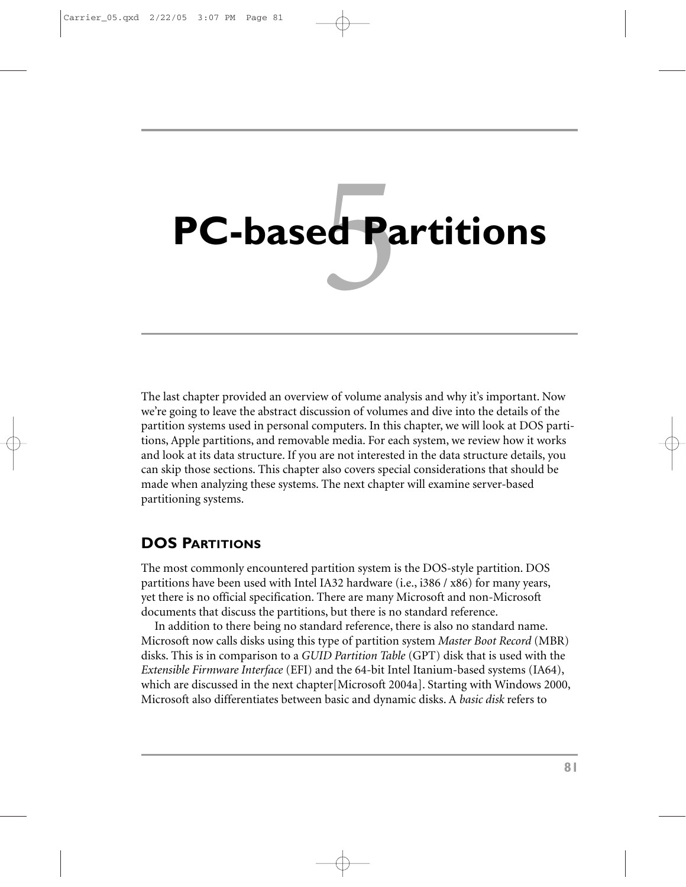# $\frac{1}{\sqrt{1}}$ **PC-based Partitions**

The last chapter provided an overview of volume analysis and why it's important. Now we're going to leave the abstract discussion of volumes and dive into the details of the partition systems used in personal computers. In this chapter, we will look at DOS partitions, Apple partitions, and removable media. For each system, we review how it works and look at its data structure. If you are not interested in the data structure details, you can skip those sections. This chapter also covers special considerations that should be made when analyzing these systems. The next chapter will examine server-based partitioning systems.

# **DOS PARTITIONS**

The most commonly encountered partition system is the DOS-style partition. DOS partitions have been used with Intel IA32 hardware (i.e., i386 / x86) for many years, yet there is no official specification. There are many Microsoft and non-Microsoft documents that discuss the partitions, but there is no standard reference.

In addition to there being no standard reference, there is also no standard name. Microsoft now calls disks using this type of partition system *Master Boot Record* (MBR) disks. This is in comparison to a *GUID Partition Table* (GPT) disk that is used with the *Extensible Firmware Interface* (EFI) and the 64-bit Intel Itanium-based systems (IA64), which are discussed in the next chapter[Microsoft 2004a]. Starting with Windows 2000, Microsoft also differentiates between basic and dynamic disks. A *basic disk* refers to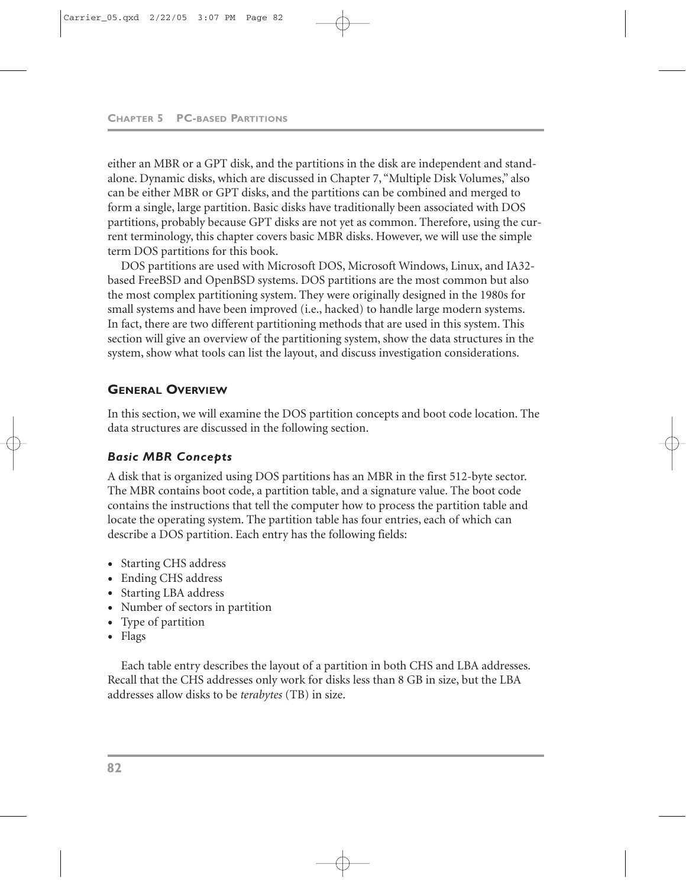either an MBR or a GPT disk, and the partitions in the disk are independent and standalone. Dynamic disks, which are discussed in Chapter 7, "Multiple Disk Volumes," also can be either MBR or GPT disks, and the partitions can be combined and merged to form a single, large partition. Basic disks have traditionally been associated with DOS partitions, probably because GPT disks are not yet as common. Therefore, using the current terminology, this chapter covers basic MBR disks. However, we will use the simple term DOS partitions for this book.

DOS partitions are used with Microsoft DOS, Microsoft Windows, Linux, and IA32 based FreeBSD and OpenBSD systems. DOS partitions are the most common but also the most complex partitioning system. They were originally designed in the 1980s for small systems and have been improved (i.e., hacked) to handle large modern systems. In fact, there are two different partitioning methods that are used in this system. This section will give an overview of the partitioning system, show the data structures in the system, show what tools can list the layout, and discuss investigation considerations.

## **GENERAL OVERVIEW**

In this section, we will examine the DOS partition concepts and boot code location. The data structures are discussed in the following section.

#### *Basic MBR Concepts*

A disk that is organized using DOS partitions has an MBR in the first 512-byte sector. The MBR contains boot code, a partition table, and a signature value. The boot code contains the instructions that tell the computer how to process the partition table and locate the operating system. The partition table has four entries, each of which can describe a DOS partition. Each entry has the following fields:

- Starting CHS address
- Ending CHS address
- Starting LBA address
- Number of sectors in partition
- Type of partition
- Flags

Each table entry describes the layout of a partition in both CHS and LBA addresses. Recall that the CHS addresses only work for disks less than 8 GB in size, but the LBA addresses allow disks to be *terabytes* (TB) in size.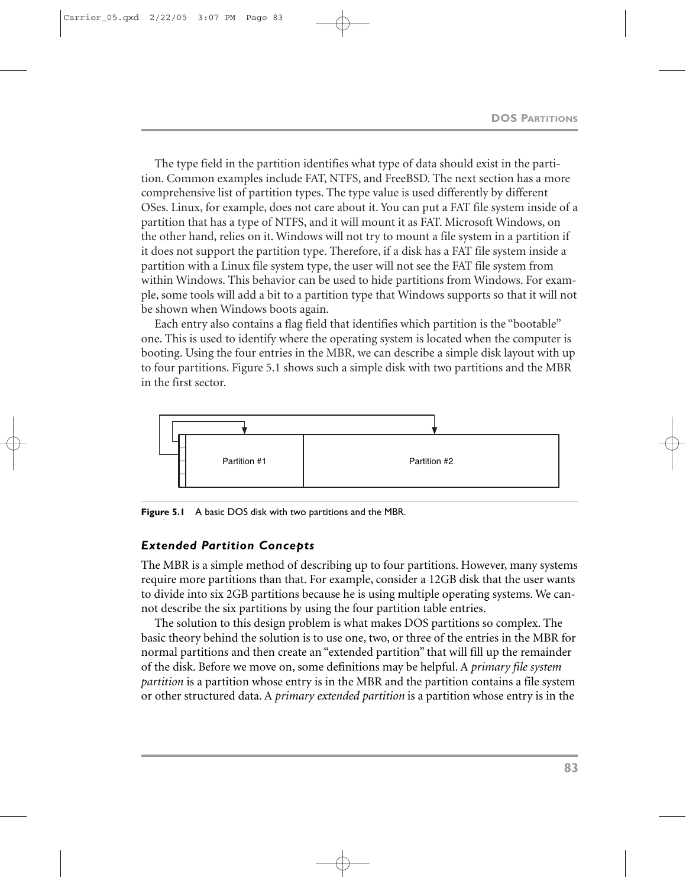The type field in the partition identifies what type of data should exist in the partition. Common examples include FAT, NTFS, and FreeBSD. The next section has a more comprehensive list of partition types. The type value is used differently by different OSes. Linux, for example, does not care about it. You can put a FAT file system inside of a partition that has a type of NTFS, and it will mount it as FAT. Microsoft Windows, on the other hand, relies on it. Windows will not try to mount a file system in a partition if it does not support the partition type. Therefore, if a disk has a FAT file system inside a partition with a Linux file system type, the user will not see the FAT file system from within Windows. This behavior can be used to hide partitions from Windows. For example, some tools will add a bit to a partition type that Windows supports so that it will not be shown when Windows boots again.

Each entry also contains a flag field that identifies which partition is the "bootable" one. This is used to identify where the operating system is located when the computer is booting. Using the four entries in the MBR, we can describe a simple disk layout with up to four partitions. Figure 5.1 shows such a simple disk with two partitions and the MBR in the first sector.



**Figure 5.1** A basic DOS disk with two partitions and the MBR.

#### *Extended Partition Concepts*

The MBR is a simple method of describing up to four partitions. However, many systems require more partitions than that. For example, consider a 12GB disk that the user wants to divide into six 2GB partitions because he is using multiple operating systems. We cannot describe the six partitions by using the four partition table entries.

The solution to this design problem is what makes DOS partitions so complex. The basic theory behind the solution is to use one, two, or three of the entries in the MBR for normal partitions and then create an "extended partition" that will fill up the remainder of the disk. Before we move on, some definitions may be helpful. A *primary file system partition* is a partition whose entry is in the MBR and the partition contains a file system or other structured data. A *primary extended partition* is a partition whose entry is in the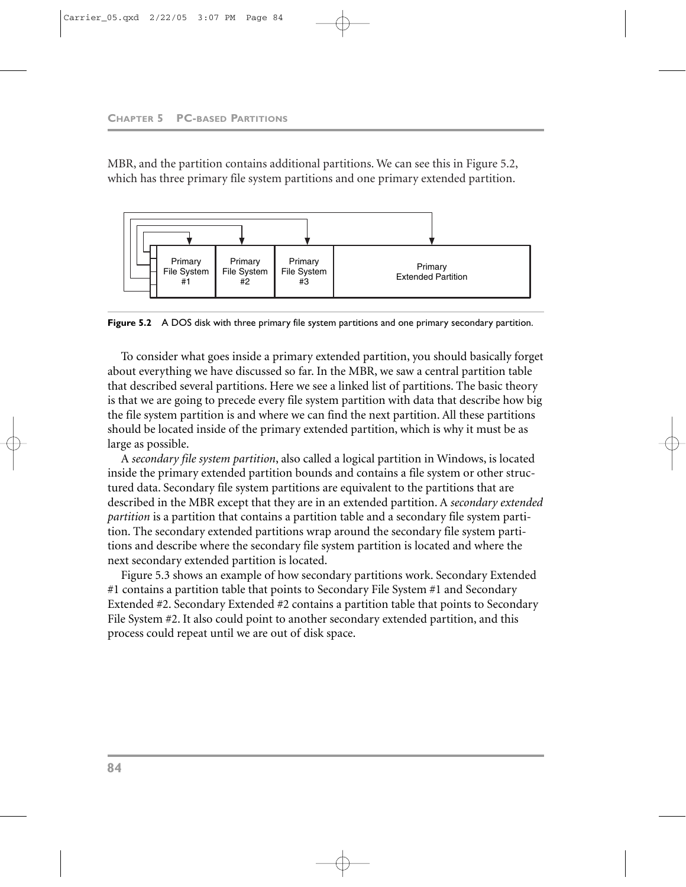MBR, and the partition contains additional partitions. We can see this in Figure 5.2, which has three primary file system partitions and one primary extended partition.



**Figure 5.2** A DOS disk with three primary file system partitions and one primary secondary partition.

To consider what goes inside a primary extended partition, you should basically forget about everything we have discussed so far. In the MBR, we saw a central partition table that described several partitions. Here we see a linked list of partitions. The basic theory is that we are going to precede every file system partition with data that describe how big the file system partition is and where we can find the next partition. All these partitions should be located inside of the primary extended partition, which is why it must be as large as possible.

A *secondary file system partition*, also called a logical partition in Windows, is located inside the primary extended partition bounds and contains a file system or other structured data. Secondary file system partitions are equivalent to the partitions that are described in the MBR except that they are in an extended partition. A *secondary extended partition* is a partition that contains a partition table and a secondary file system partition. The secondary extended partitions wrap around the secondary file system partitions and describe where the secondary file system partition is located and where the next secondary extended partition is located.

Figure 5.3 shows an example of how secondary partitions work. Secondary Extended #1 contains a partition table that points to Secondary File System #1 and Secondary Extended #2. Secondary Extended #2 contains a partition table that points to Secondary File System #2. It also could point to another secondary extended partition, and this process could repeat until we are out of disk space.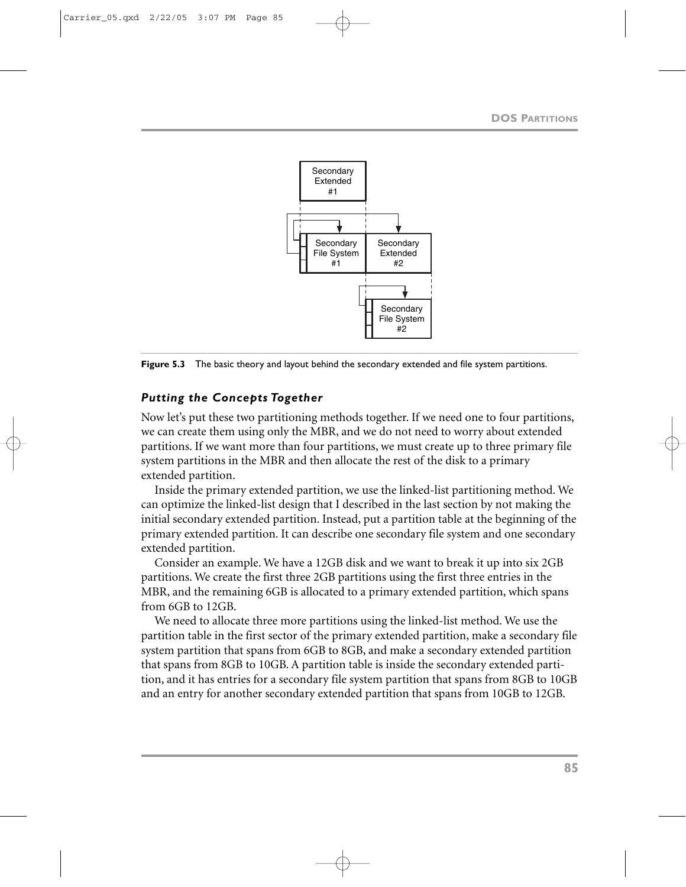**DOS PARTITIONS**



**Figure 5.3** The basic theory and layout behind the secondary extended and file system partitions.

#### *Putting the Concepts Together*

Now let's put these two partitioning methods together. If we need one to four partitions, we can create them using only the MBR, and we do not need to worry about extended partitions. If we want more than four partitions, we must create up to three primary file system partitions in the MBR and then allocate the rest of the disk to a primary extended partition.

Inside the primary extended partition, we use the linked-list partitioning method. We can optimize the linked-list design that I described in the last section by not making the initial secondary extended partition. Instead, put a partition table at the beginning of the primary extended partition. It can describe one secondary file system and one secondary extended partition.

Consider an example. We have a 12GB disk and we want to break it up into six 2GB partitions. We create the first three 2GB partitions using the first three entries in the MBR, and the remaining 6GB is allocated to a primary extended partition, which spans from 6GB to 12GB.

We need to allocate three more partitions using the linked-list method. We use the partition table in the first sector of the primary extended partition, make a secondary file system partition that spans from 6GB to 8GB, and make a secondary extended partition that spans from 8GB to 10GB. A partition table is inside the secondary extended partition, and it has entries for a secondary file system partition that spans from 8GB to 10GB and an entry for another secondary extended partition that spans from 10GB to 12GB.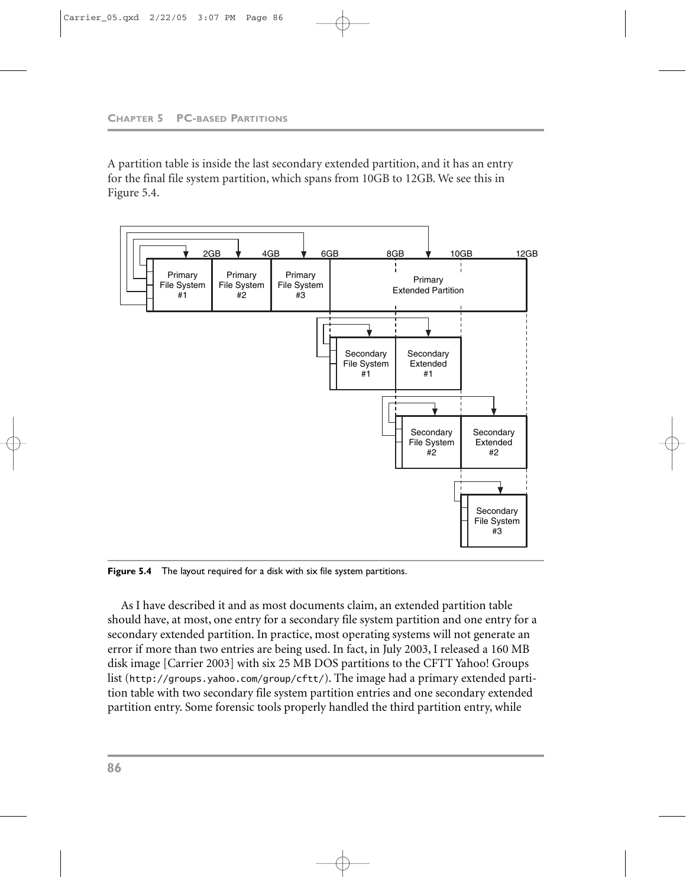A partition table is inside the last secondary extended partition, and it has an entry for the final file system partition, which spans from 10GB to 12GB. We see this in Figure 5.4.



#### **Figure 5.4** The layout required for a disk with six file system partitions.

As I have described it and as most documents claim, an extended partition table should have, at most, one entry for a secondary file system partition and one entry for a secondary extended partition. In practice, most operating systems will not generate an error if more than two entries are being used. In fact, in July 2003, I released a 160 MB disk image [Carrier 2003] with six 25 MB DOS partitions to the CFTT Yahoo! Groups list (http://groups.yahoo.com/group/cftt/). The image had a primary extended partition table with two secondary file system partition entries and one secondary extended partition entry. Some forensic tools properly handled the third partition entry, while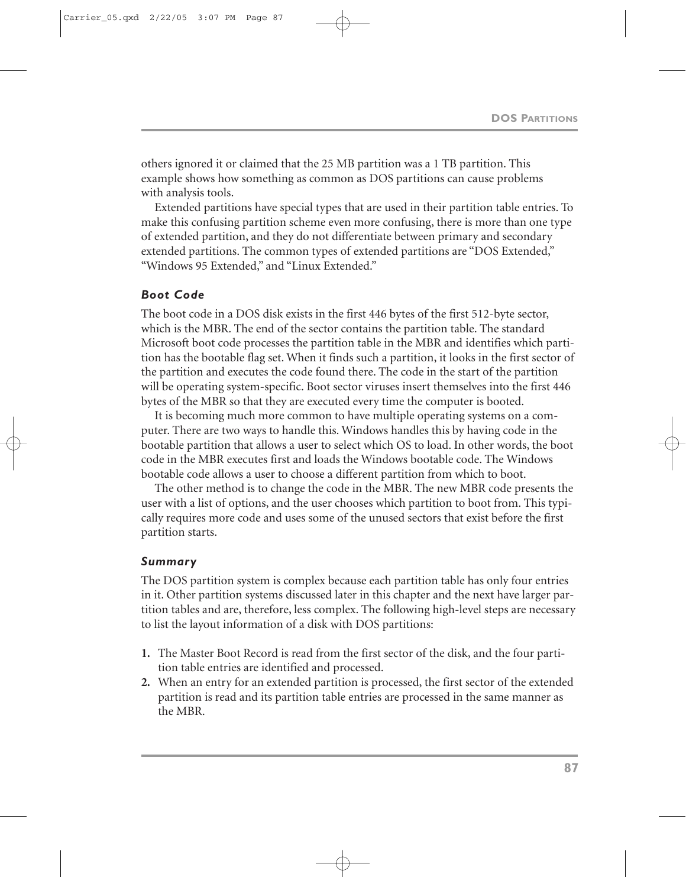others ignored it or claimed that the 25 MB partition was a 1 TB partition. This example shows how something as common as DOS partitions can cause problems with analysis tools.

Extended partitions have special types that are used in their partition table entries. To make this confusing partition scheme even more confusing, there is more than one type of extended partition, and they do not differentiate between primary and secondary extended partitions. The common types of extended partitions are "DOS Extended," "Windows 95 Extended," and "Linux Extended."

# *Boot Code*

The boot code in a DOS disk exists in the first 446 bytes of the first 512-byte sector, which is the MBR. The end of the sector contains the partition table. The standard Microsoft boot code processes the partition table in the MBR and identifies which partition has the bootable flag set. When it finds such a partition, it looks in the first sector of the partition and executes the code found there. The code in the start of the partition will be operating system-specific. Boot sector viruses insert themselves into the first 446 bytes of the MBR so that they are executed every time the computer is booted.

It is becoming much more common to have multiple operating systems on a computer. There are two ways to handle this. Windows handles this by having code in the bootable partition that allows a user to select which OS to load. In other words, the boot code in the MBR executes first and loads the Windows bootable code. The Windows bootable code allows a user to choose a different partition from which to boot.

The other method is to change the code in the MBR. The new MBR code presents the user with a list of options, and the user chooses which partition to boot from. This typically requires more code and uses some of the unused sectors that exist before the first partition starts.

#### *Summary*

The DOS partition system is complex because each partition table has only four entries in it. Other partition systems discussed later in this chapter and the next have larger partition tables and are, therefore, less complex. The following high-level steps are necessary to list the layout information of a disk with DOS partitions:

- **1.** The Master Boot Record is read from the first sector of the disk, and the four partition table entries are identified and processed.
- **2.** When an entry for an extended partition is processed, the first sector of the extended partition is read and its partition table entries are processed in the same manner as the MBR.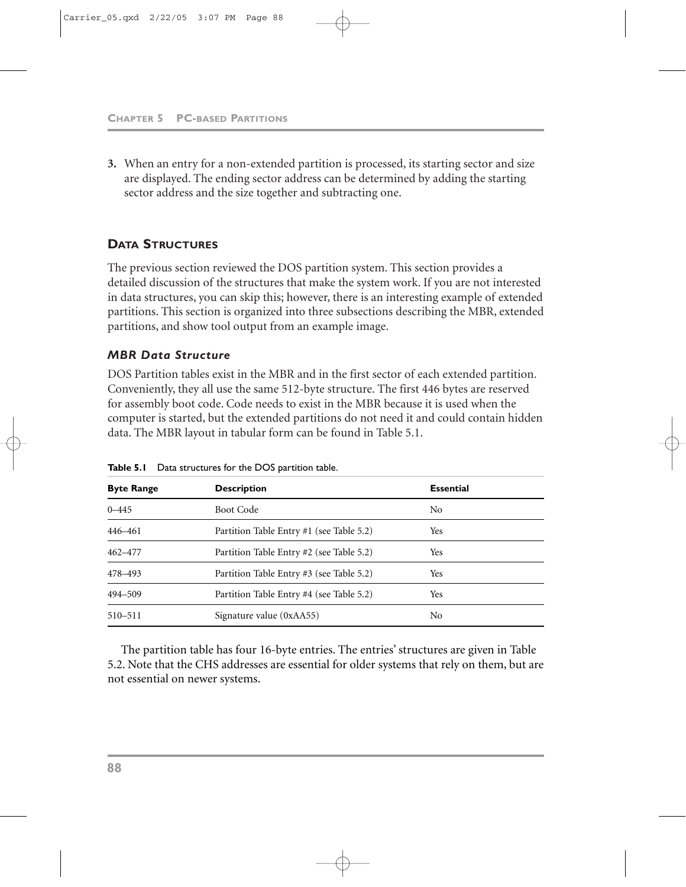**3.** When an entry for a non-extended partition is processed, its starting sector and size are displayed. The ending sector address can be determined by adding the starting sector address and the size together and subtracting one.

# **DATA STRUCTURES**

The previous section reviewed the DOS partition system. This section provides a detailed discussion of the structures that make the system work. If you are not interested in data structures, you can skip this; however, there is an interesting example of extended partitions. This section is organized into three subsections describing the MBR, extended partitions, and show tool output from an example image.

#### *MBR Data Structure*

DOS Partition tables exist in the MBR and in the first sector of each extended partition. Conveniently, they all use the same 512-byte structure. The first 446 bytes are reserved for assembly boot code. Code needs to exist in the MBR because it is used when the computer is started, but the extended partitions do not need it and could contain hidden data. The MBR layout in tabular form can be found in Table 5.1.

| <b>Byte Range</b> | <b>Description</b>                       | <b>Essential</b> |  |
|-------------------|------------------------------------------|------------------|--|
| $0 - 445$         | <b>Boot Code</b>                         | N <sub>0</sub>   |  |
| 446-461           | Partition Table Entry #1 (see Table 5.2) | Yes              |  |
| 462-477           | Partition Table Entry #2 (see Table 5.2) | Yes              |  |
| 478-493           | Partition Table Entry #3 (see Table 5.2) | Yes              |  |
| 494-509           | Partition Table Entry #4 (see Table 5.2) | Yes              |  |
| 510-511           | Signature value (0xAA55)                 | N <sub>0</sub>   |  |

**Table 5.1** Data structures for the DOS partition table.

The partition table has four 16-byte entries. The entries' structures are given in Table 5.2. Note that the CHS addresses are essential for older systems that rely on them, but are not essential on newer systems.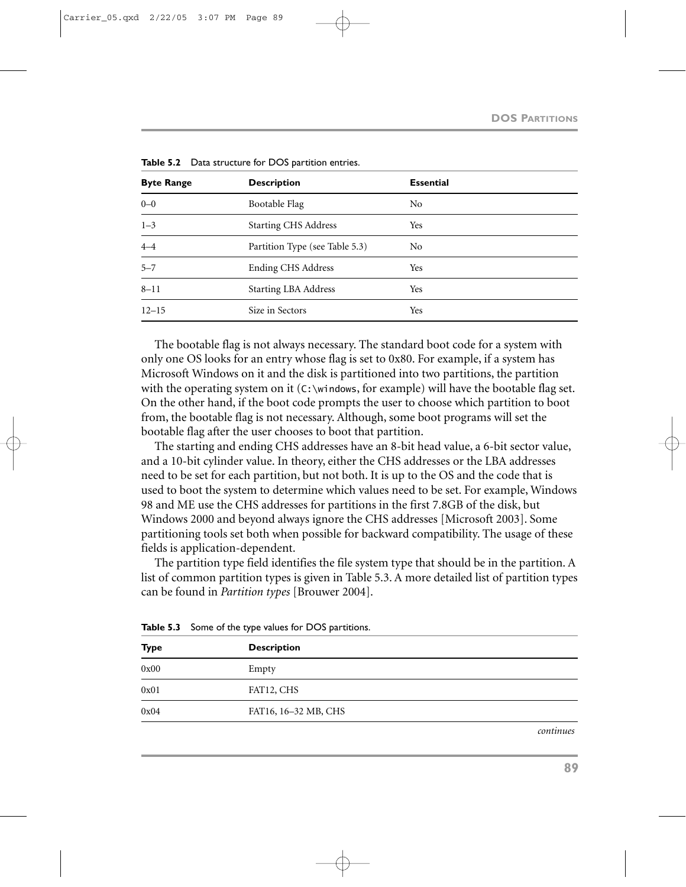| <b>Description</b><br><b>Byte Range</b> |                                | <b>Essential</b> |  |
|-----------------------------------------|--------------------------------|------------------|--|
| $0 - 0$                                 | Bootable Flag                  | N <sub>o</sub>   |  |
| $1 - 3$                                 | <b>Starting CHS Address</b>    | Yes              |  |
| $4 - 4$                                 | Partition Type (see Table 5.3) | N <sub>o</sub>   |  |
| $5 - 7$                                 | <b>Ending CHS Address</b>      | Yes              |  |
| $8 - 11$                                | <b>Starting LBA Address</b>    | Yes              |  |
| $12 - 15$                               | Size in Sectors                | Yes              |  |

**Table 5.2** Data structure for DOS partition entries.

The bootable flag is not always necessary. The standard boot code for a system with only one OS looks for an entry whose flag is set to 0x80. For example, if a system has Microsoft Windows on it and the disk is partitioned into two partitions, the partition with the operating system on it  $(C:\widetilde{\mathcal{C}})$  for example) will have the bootable flag set. On the other hand, if the boot code prompts the user to choose which partition to boot from, the bootable flag is not necessary. Although, some boot programs will set the bootable flag after the user chooses to boot that partition.

The starting and ending CHS addresses have an 8-bit head value, a 6-bit sector value, and a 10-bit cylinder value. In theory, either the CHS addresses or the LBA addresses need to be set for each partition, but not both. It is up to the OS and the code that is used to boot the system to determine which values need to be set. For example, Windows 98 and ME use the CHS addresses for partitions in the first 7.8GB of the disk, but Windows 2000 and beyond always ignore the CHS addresses [Microsoft 2003]. Some partitioning tools set both when possible for backward compatibility. The usage of these fields is application-dependent.

The partition type field identifies the file system type that should be in the partition. A list of common partition types is given in Table 5.3. A more detailed list of partition types can be found in *Partition types* [Brouwer 2004].

|  | <b>Table 5.3</b> Some of the type values for DOS partitions. |  |  |  |  |
|--|--------------------------------------------------------------|--|--|--|--|
|--|--------------------------------------------------------------|--|--|--|--|

| Type | <b>Description</b>   |
|------|----------------------|
| 0x00 | Empty                |
| 0x01 | FAT12, CHS           |
| 0x04 | FAT16, 16-32 MB, CHS |
|      | $\sim$               |

*continues*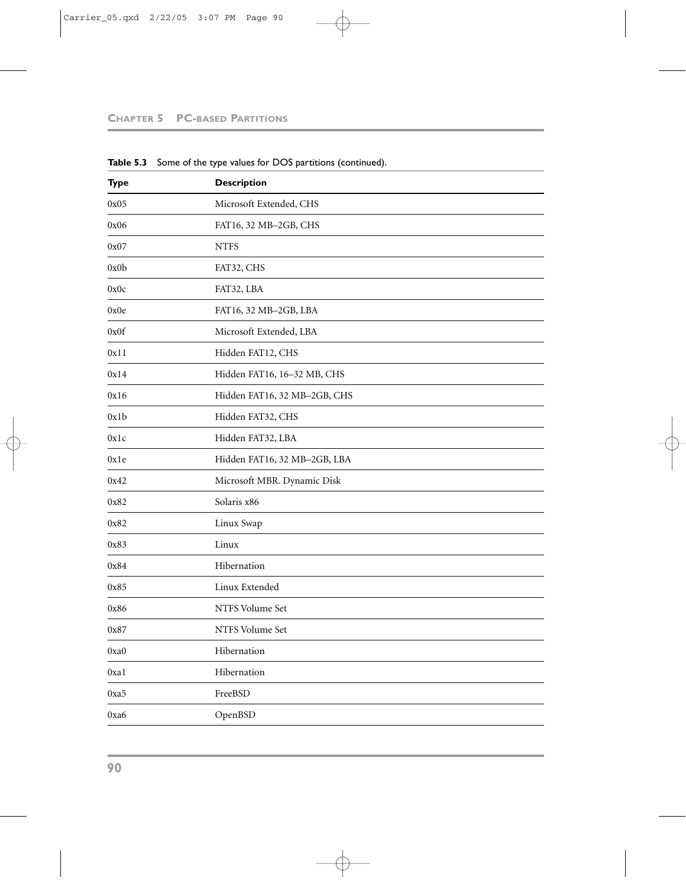| Table 5.3   | Some of the type values for DOS partitions (continued). |
|-------------|---------------------------------------------------------|
| <b>Type</b> | <b>Description</b>                                      |
| 0x05        | Microsoft Extended, CHS                                 |
| 0x06        | FAT16, 32 MB-2GB, CHS                                   |
| 0x07        | <b>NTFS</b>                                             |
| 0x0b        | FAT32, CHS                                              |
| 0x0c        | FAT32, LBA                                              |
| 0x0e        | FAT16, 32 MB-2GB, LBA                                   |
| 0x0f        | Microsoft Extended, LBA                                 |
| 0x11        | Hidden FAT12, CHS                                       |
| 0x14        | Hidden FAT16, 16-32 MB, CHS                             |
| 0x16        | Hidden FAT16, 32 MB-2GB, CHS                            |
| 0x1b        | Hidden FAT32, CHS                                       |
| 0x1c        | Hidden FAT32, LBA                                       |
| 0x1e        | Hidden FAT16, 32 MB-2GB, LBA                            |
| 0x42        | Microsoft MBR. Dynamic Disk                             |
| 0x82        | Solaris x86                                             |
| 0x82        | Linux Swap                                              |
| 0x83        | Linux                                                   |
| 0x84        | Hibernation                                             |
| 0x85        | Linux Extended                                          |
| 0x86        | NTFS Volume Set                                         |
| 0x87        | NTFS Volume Set                                         |
| 0xa0        | Hibernation                                             |
| 0xa1        | Hibernation                                             |
| 0xa5        | FreeBSD                                                 |
| 0xa6        | OpenBSD                                                 |
|             |                                                         |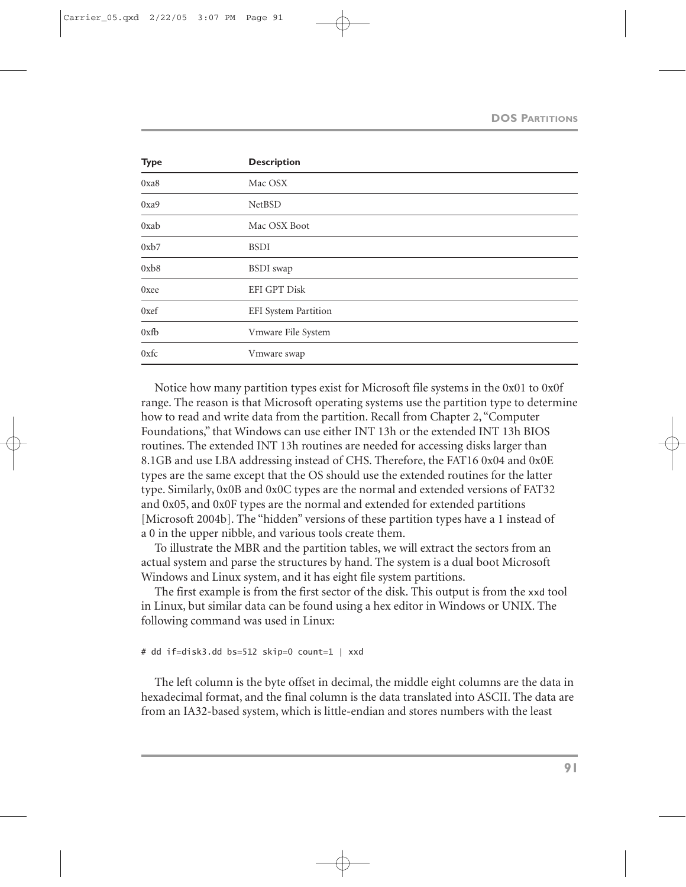| <b>Type</b> | <b>Description</b>   |  |  |
|-------------|----------------------|--|--|
| 0xa8        | Mac OSX              |  |  |
| 0xa9        | <b>NetBSD</b>        |  |  |
| 0xab        | Mac OSX Boot         |  |  |
| 0xb7        | <b>BSDI</b>          |  |  |
| 0xb8        | <b>BSDI</b> swap     |  |  |
| 0xee        | <b>EFI GPT Disk</b>  |  |  |
| 0xef        | EFI System Partition |  |  |
| 0xfb        | Vmware File System   |  |  |
| 0xfc        | Vmware swap          |  |  |
|             |                      |  |  |

Notice how many partition types exist for Microsoft file systems in the 0x01 to 0x0f range. The reason is that Microsoft operating systems use the partition type to determine how to read and write data from the partition. Recall from Chapter 2, "Computer Foundations," that Windows can use either INT 13h or the extended INT 13h BIOS routines. The extended INT 13h routines are needed for accessing disks larger than 8.1GB and use LBA addressing instead of CHS. Therefore, the FAT16 0x04 and 0x0E types are the same except that the OS should use the extended routines for the latter type. Similarly, 0x0B and 0x0C types are the normal and extended versions of FAT32 and 0x05, and 0x0F types are the normal and extended for extended partitions [Microsoft 2004b]. The "hidden" versions of these partition types have a 1 instead of a 0 in the upper nibble, and various tools create them.

To illustrate the MBR and the partition tables, we will extract the sectors from an actual system and parse the structures by hand. The system is a dual boot Microsoft Windows and Linux system, and it has eight file system partitions.

The first example is from the first sector of the disk. This output is from the xxd tool in Linux, but similar data can be found using a hex editor in Windows or UNIX. The following command was used in Linux:

#### # dd if=disk3.dd bs=512 skip=0 count=1 | xxd

The left column is the byte offset in decimal, the middle eight columns are the data in hexadecimal format, and the final column is the data translated into ASCII. The data are from an IA32-based system, which is little-endian and stores numbers with the least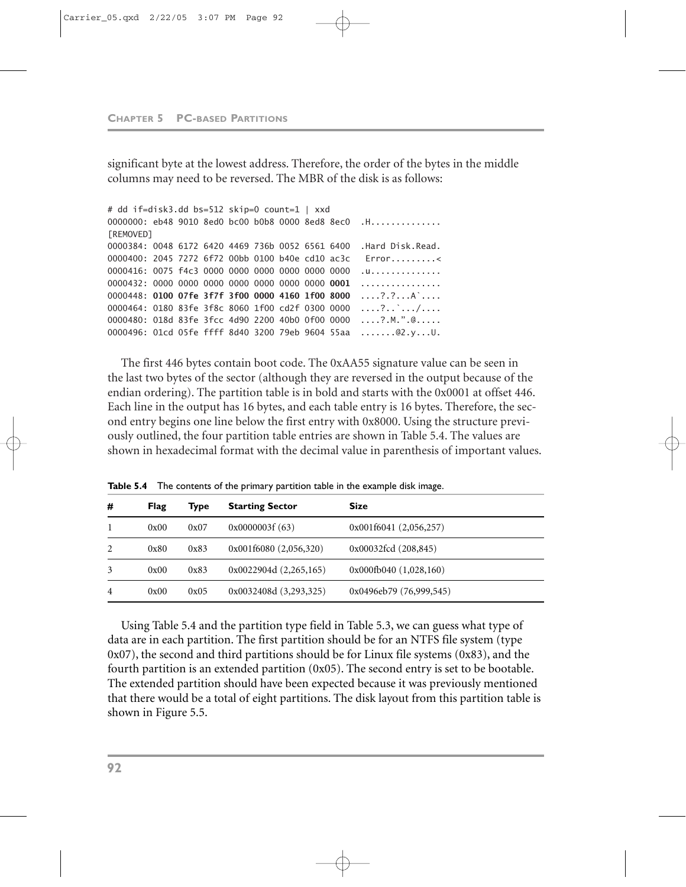significant byte at the lowest address. Therefore, the order of the bytes in the middle columns may need to be reversed. The MBR of the disk is as follows:

```
# dd if=disk3.dd bs=512 skip=0 count=1 | xxd
0000000: eb48 9010 8ed0 bc00 b0b8 0000 8ed8 8ec0 .H.............
[REMOVED]
0000384: 0048 6172 6420 4469 736b 0052 6561 6400 .Hard Disk.Read.
0000400: 2045 7272 6f72 00bb 0100 b40e cd10 ac3c Error.........<
0000416: 0075 f4c3 0000 0000 0000 0000 0000 0000 .u..............
0000432: 0000 0000 0000 0000 0000 0000 0000 0001 ................
0000448: 0100 07fe 3f7f 3f00 0000 4160 1f00 8000 ....?.?...A`....
0000464: 0180 83fe 3f8c 8060 1f00 cd2f 0300 0000 ....?..`.../....
0000480: 018d 83fe 3fcc 4d90 2200 40b0 0f00 0000 ....?.M.".@.....
0000496: 01cd 05fe ffff 8d40 3200 79eb 9604 55aa .......@2.y...U.
```
The first 446 bytes contain boot code. The 0xAA55 signature value can be seen in the last two bytes of the sector (although they are reversed in the output because of the endian ordering). The partition table is in bold and starts with the 0x0001 at offset 446. Each line in the output has 16 bytes, and each table entry is 16 bytes. Therefore, the second entry begins one line below the first entry with 0x8000. Using the structure previously outlined, the four partition table entries are shown in Table 5.4. The values are shown in hexadecimal format with the decimal value in parenthesis of important values.

| # | Flag | Type | <b>Starting Sector</b> | <b>Size</b>                |
|---|------|------|------------------------|----------------------------|
|   | 0x00 | 0x07 | 0x0000003f(63)         | $0x001f6041$ $(2,056,257)$ |
| 2 | 0x80 | 0x83 | 0x001f6080 (2,056,320) | 0x00032fcd (208,845)       |
| 3 | 0x00 | 0x83 | 0x0022904d(2,265,165)  | 0x000fb040 (1,028,160)     |
| 4 | 0x00 | 0x05 | 0x0032408d (3,293,325) | 0x0496eb79 (76,999,545)    |

**Table 5.4** The contents of the primary partition table in the example disk image.

Using Table 5.4 and the partition type field in Table 5.3, we can guess what type of data are in each partition. The first partition should be for an NTFS file system (type 0x07), the second and third partitions should be for Linux file systems (0x83), and the fourth partition is an extended partition (0x05). The second entry is set to be bootable. The extended partition should have been expected because it was previously mentioned that there would be a total of eight partitions. The disk layout from this partition table is shown in Figure 5.5.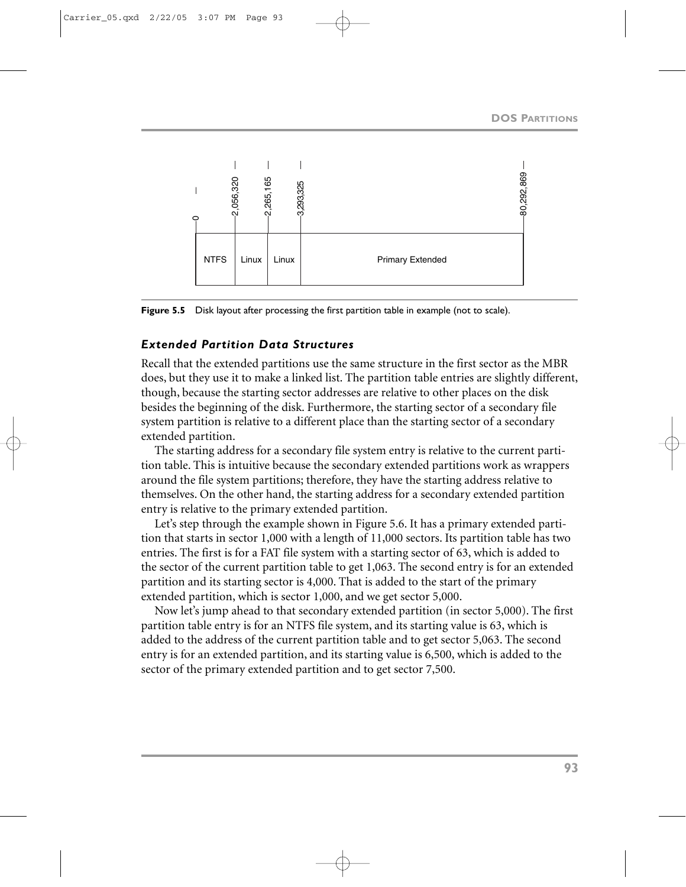

**Figure 5.5** Disk layout after processing the first partition table in example (not to scale).

# *Extended Partition Data Structures*

Recall that the extended partitions use the same structure in the first sector as the MBR does, but they use it to make a linked list. The partition table entries are slightly different, though, because the starting sector addresses are relative to other places on the disk besides the beginning of the disk. Furthermore, the starting sector of a secondary file system partition is relative to a different place than the starting sector of a secondary extended partition.

The starting address for a secondary file system entry is relative to the current partition table. This is intuitive because the secondary extended partitions work as wrappers around the file system partitions; therefore, they have the starting address relative to themselves. On the other hand, the starting address for a secondary extended partition entry is relative to the primary extended partition.

Let's step through the example shown in Figure 5.6. It has a primary extended partition that starts in sector 1,000 with a length of 11,000 sectors. Its partition table has two entries. The first is for a FAT file system with a starting sector of 63, which is added to the sector of the current partition table to get 1,063. The second entry is for an extended partition and its starting sector is 4,000. That is added to the start of the primary extended partition, which is sector 1,000, and we get sector 5,000.

Now let's jump ahead to that secondary extended partition (in sector 5,000). The first partition table entry is for an NTFS file system, and its starting value is 63, which is added to the address of the current partition table and to get sector 5,063. The second entry is for an extended partition, and its starting value is 6,500, which is added to the sector of the primary extended partition and to get sector 7,500.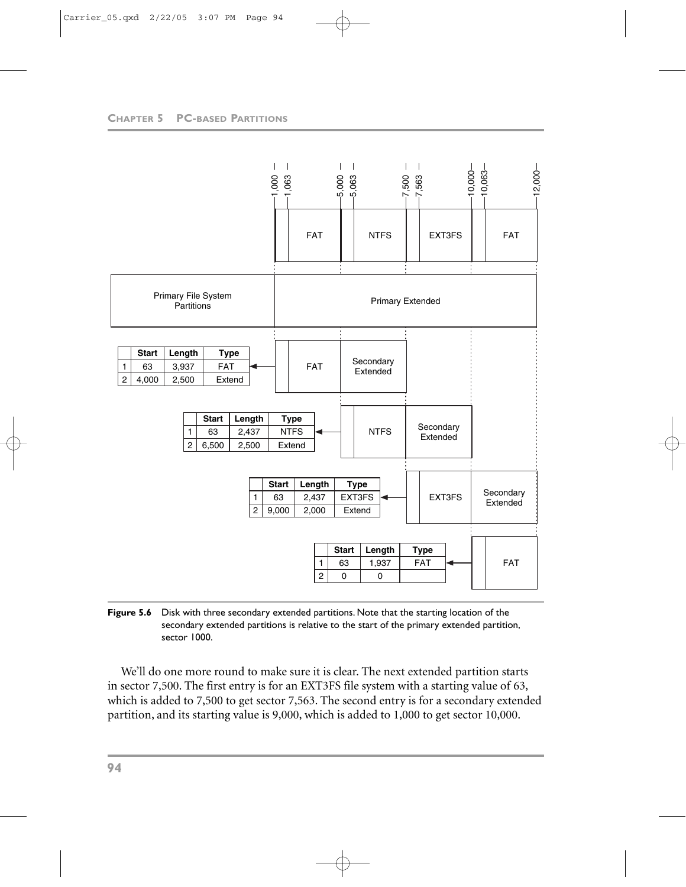



**Figure 5.6** Disk with three secondary extended partitions. Note that the starting location of the secondary extended partitions is relative to the start of the primary extended partition, sector 1000.

We'll do one more round to make sure it is clear. The next extended partition starts in sector 7,500. The first entry is for an EXT3FS file system with a starting value of 63, which is added to 7,500 to get sector 7,563. The second entry is for a secondary extended partition, and its starting value is 9,000, which is added to 1,000 to get sector 10,000.

**94**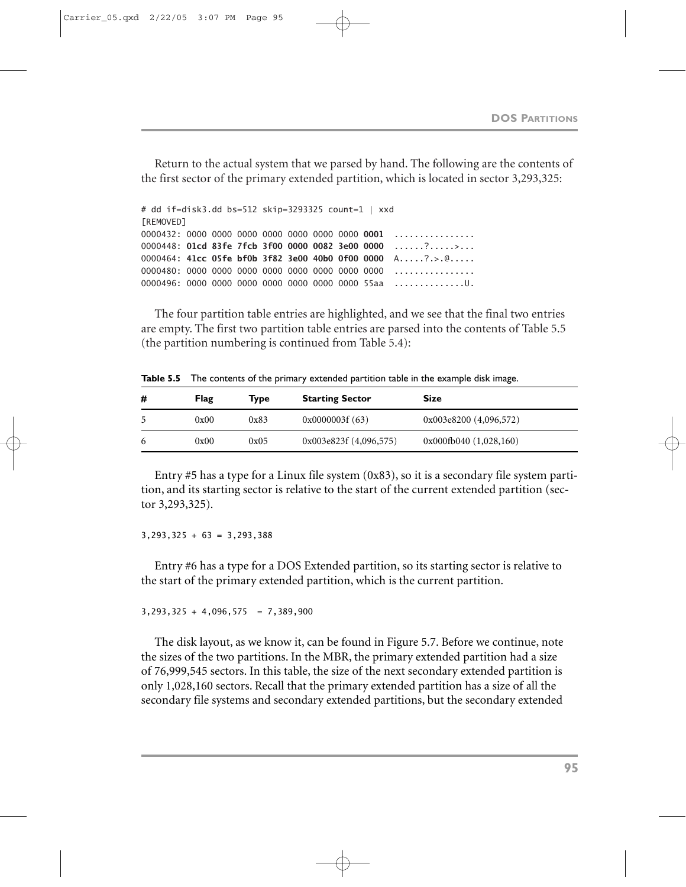Return to the actual system that we parsed by hand. The following are the contents of the first sector of the primary extended partition, which is located in sector 3,293,325:

```
# dd if=disk3.dd bs=512 skip=3293325 count=1 | xxd
[REMOVED]
0000432: 0000 0000 0000 0000 0000 0000 0000 0001 ................
0000448: 01cd 83fe 7fcb 3f00 0000 0082 3e00 0000 ......?.....>...
0000464: 41cc 05fe bf0b 3f82 3e00 40b0 0f00 0000 A.....?.>.@.....
0000480: 0000 0000 0000 0000 0000 0000 0000 0000 ................
0000496: 0000 0000 0000 0000 0000 0000 0000 55aa ..............U.
```
The four partition table entries are highlighted, and we see that the final two entries are empty. The first two partition table entries are parsed into the contents of Table 5.5 (the partition numbering is continued from Table 5.4):

| Table 5.5 The contents of the primary extended partition table in the example disk image. |  |  |  |
|-------------------------------------------------------------------------------------------|--|--|--|
|-------------------------------------------------------------------------------------------|--|--|--|

| # | Flag | Type | <b>Starting Sector</b> | Size                     |
|---|------|------|------------------------|--------------------------|
| 5 | 0x00 | 0x83 | 0x0000003f(63)         | 0x003e8200 (4,096,572)   |
| 6 | 0x00 | 0x05 | 0x003e823f(4,096,575)  | $0x000f_0040(1,028,160)$ |

Entry #5 has a type for a Linux file system (0x83), so it is a secondary file system partition, and its starting sector is relative to the start of the current extended partition (sector 3,293,325).

 $3,293,325 + 63 = 3,293,388$ 

Entry #6 has a type for a DOS Extended partition, so its starting sector is relative to the start of the primary extended partition, which is the current partition.

 $3,293,325 + 4,096,575 = 7,389,900$ 

The disk layout, as we know it, can be found in Figure 5.7. Before we continue, note the sizes of the two partitions. In the MBR, the primary extended partition had a size of 76,999,545 sectors. In this table, the size of the next secondary extended partition is only 1,028,160 sectors. Recall that the primary extended partition has a size of all the secondary file systems and secondary extended partitions, but the secondary extended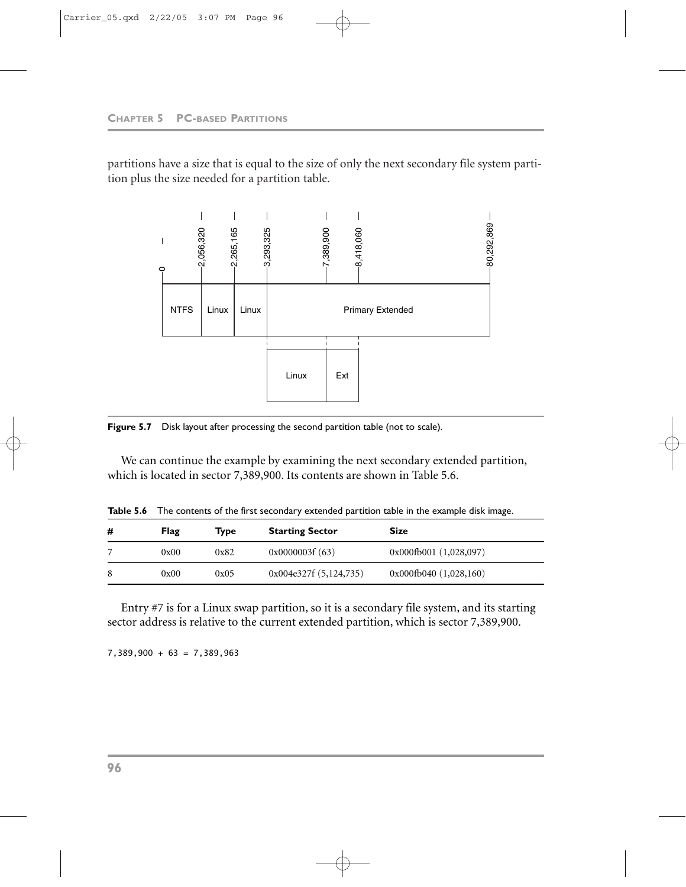partitions have a size that is equal to the size of only the next secondary file system partition plus the size needed for a partition table.





We can continue the example by examining the next secondary extended partition, which is located in sector 7,389,900. Its contents are shown in Table 5.6.

**Table 5.6** The contents of the first secondary extended partition table in the example disk image.

| # | Flag | Type | <b>Starting Sector</b> | Size                       |
|---|------|------|------------------------|----------------------------|
|   | 0x00 | 0x82 | 0x0000003f(63)         | $0x000f_{001} (1,028,097)$ |
| 8 | 0x00 | 0x05 | 0x004e327f(5,124,735)  | $0x000f_{0}040(1,028,160)$ |

Entry #7 is for a Linux swap partition, so it is a secondary file system, and its starting sector address is relative to the current extended partition, which is sector 7,389,900.

7,389,900 + 63 = 7,389,963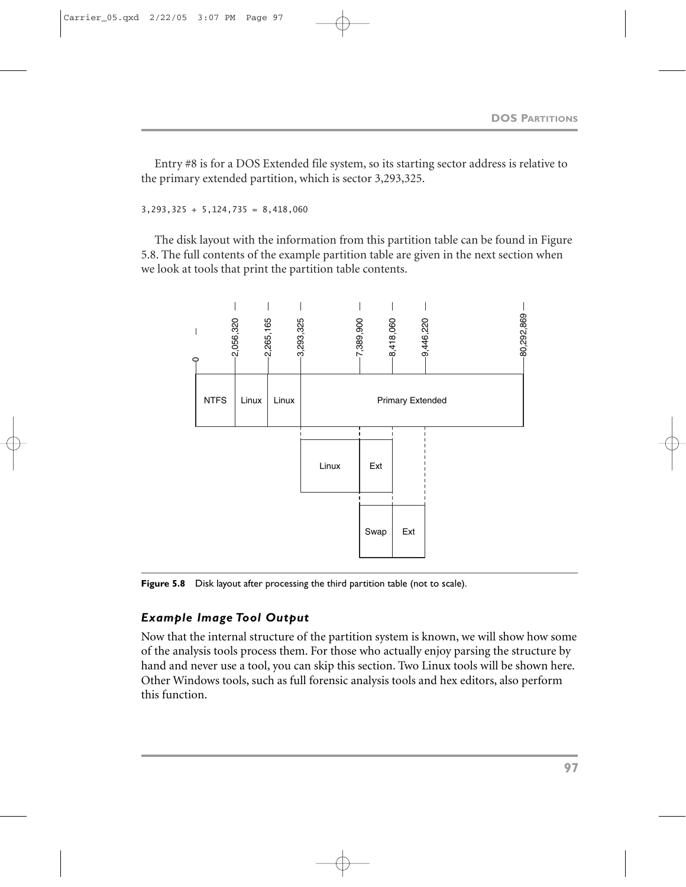Entry #8 is for a DOS Extended file system, so its starting sector address is relative to the primary extended partition, which is sector 3,293,325.

3,293,325 + 5,124,735 = 8,418,060

The disk layout with the information from this partition table can be found in Figure 5.8. The full contents of the example partition table are given in the next section when we look at tools that print the partition table contents.



**Figure 5.8** Disk layout after processing the third partition table (not to scale).

# *Example Image Tool Output*

Now that the internal structure of the partition system is known, we will show how some of the analysis tools process them. For those who actually enjoy parsing the structure by hand and never use a tool, you can skip this section. Two Linux tools will be shown here. Other Windows tools, such as full forensic analysis tools and hex editors, also perform this function.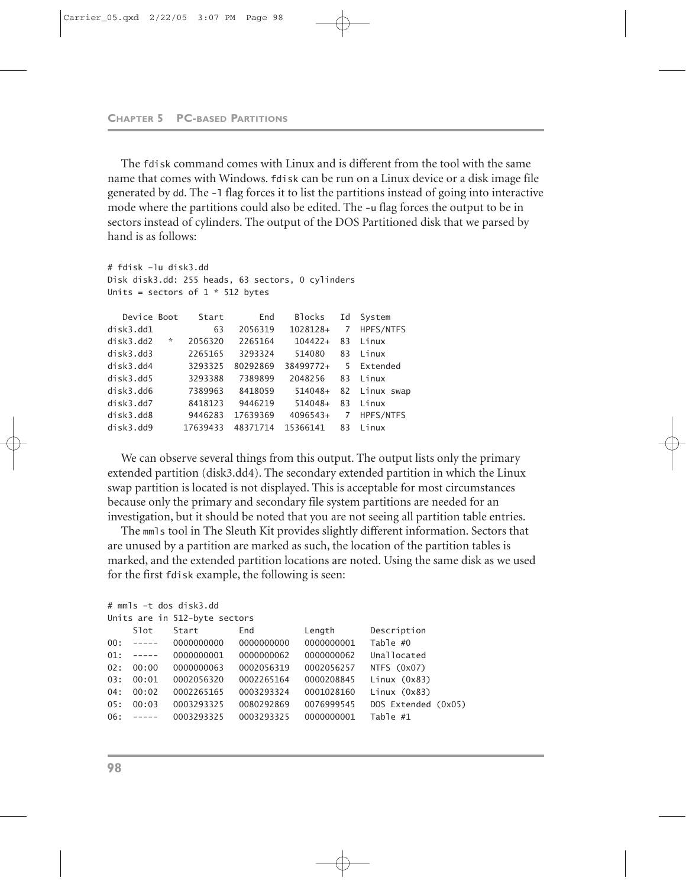The fdisk command comes with Linux and is different from the tool with the same name that comes with Windows. fdisk can be run on a Linux device or a disk image file generated by dd. The -l flag forces it to list the partitions instead of going into interactive mode where the partitions could also be edited. The -u flag forces the output to be in sectors instead of cylinders. The output of the DOS Partitioned disk that we parsed by hand is as follows:

```
# fdisk –lu disk3.dd
Disk disk3.dd: 255 heads, 63 sectors, 0 cylinders
Units = sectors of 1 * 512 bytes
  Device Boot Start End Blocks Id System
disk3.dd1 63 2056319 1028128+ 7 HPFS/NTFS
disk3.dd2 * 2056320 2265164 104422+ 83 Linux
disk3.dd3 2265165 3293324 514080 83 Linux
disk3.dd4 3293325 80292869 38499772+ 5 Extended
disk3.dd5 3293388 7389899 2048256 83 Linux
disk3.dd6 7389963 8418059 514048+ 82 Linux swap
disk3.dd7 8418123 9446219 514048+ 83 Linux
disk3.dd8 9446283 17639369 4096543+ 7 HPFS/NTFS
disk3.dd9 17639433 48371714 15366141 83 Linux
```
We can observe several things from this output. The output lists only the primary extended partition (disk3.dd4). The secondary extended partition in which the Linux swap partition is located is not displayed. This is acceptable for most circumstances because only the primary and secondary file system partitions are needed for an investigation, but it should be noted that you are not seeing all partition table entries.

The mmls tool in The Sleuth Kit provides slightly different information. Sectors that are unused by a partition are marked as such, the location of the partition tables is marked, and the extended partition locations are noted. Using the same disk as we used for the first fdisk example, the following is seen:

```
# mmls –t dos disk3.dd
Units are in 512-byte sectors
    Slot Start End Length Description
00: ----- 0000000000 0000000000 0000000001 Table #0
01: ----- 0000000001 0000000062 0000000062 Unallocated
```

| 02: 00:00 |                                 |            |                     | 0002056257 NTFS (0x07)  |
|-----------|---------------------------------|------------|---------------------|-------------------------|
| 03: 00:01 | 0002056320                      | 0002265164 |                     | 0000208845 Linux (0x83) |
|           | 04: 00:02 0002265165            | 0003293324 |                     | 0001028160 Linux (0x83) |
|           | 05: 00:03 0003293325            | 0080292869 | 0076999545          | DOS Extended (0x05)     |
|           | 06: ----- 0003293325 0003293325 |            | 0000000001 Table #1 |                         |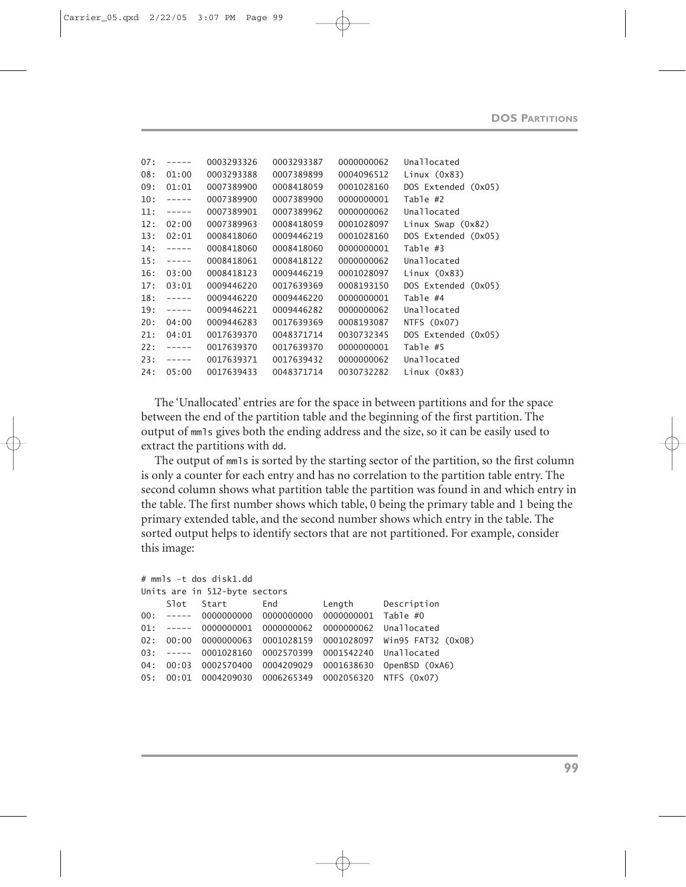07: ----- 0003293326 0003293387 0000000062 Unallocated 08: 01:00 0003293388 0007389899 0004096512 Linux (0x83) 09: 01:01 0007389900 0008418059 0001028160 DOS Extended (0x05) 10: ----- 0007389900 0007389900 0000000001 Table #2 11: ----- 0007389901 0007389962 0000000062 Unallocated 12: 02:00 0007389963 0008418059 0001028097 Linux Swap (0x82) 13: 02:01 0008418060 0009446219 0001028160 DOS Extended (0x05) 14: ----- 0008418060 0008418060 0000000001 Table #3 15: ----- 0008418061 0008418122 0000000062 Unallocated 16: 03:00 0008418123 0009446219 0001028097 Linux (0x83) 17: 03:01 0009446220 0017639369 0008193150 DOS Extended (0x05) 18: ----- 0009446220 0009446220 0000000001 Table #4 19: ----- 0009446221 0009446282 0000000062 Unallocated 20: 04:00 0009446283 0017639369 0008193087 NTFS (0x07) 21: 04:01 0017639370 0048371714 0030732345 DOS Extended (0x05) 22: ----- 0017639370 0017639370 0000000001 Table #5 23: ----- 0017639371 0017639432 0000000062 Unallocated 24: 05:00 0017639433 0048371714 0030732282 Linux (0x83)

The 'Unallocated' entries are for the space in between partitions and for the space between the end of the partition table and the beginning of the first partition. The output of mmls gives both the ending address and the size, so it can be easily used to extract the partitions with dd.

The output of mmls is sorted by the starting sector of the partition, so the first column is only a counter for each entry and has no correlation to the partition table entry. The second column shows what partition table the partition was found in and which entry in the table. The first number shows which table, 0 being the primary table and 1 being the primary extended table, and the second number shows which entry in the table. The sorted output helps to identify sectors that are not partitioned. For example, consider this image:

```
# mmls –t dos disk1.dd
Units are in 512-byte sectors
    Slot Start End Length Description
00: ----- 0000000000 0000000000 0000000001 Table #0
01: ----- 0000000001 0000000062 0000000062 Unallocated
02: 00:00 0000000063 0001028159 0001028097 Win95 FAT32 (0x0B)
03: ----- 0001028160 0002570399 0001542240 Unallocated
04: 00:03 0002570400 0004209029 0001638630 OpenBSD (0xA6)
05: 00:01 0004209030 0006265349 0002056320 NTFS (0x07)
```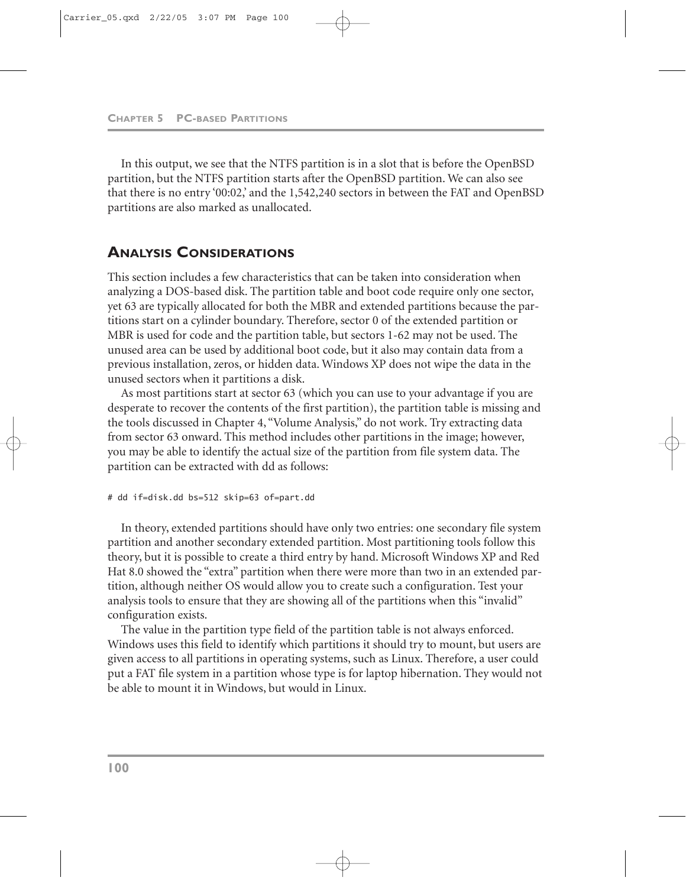In this output, we see that the NTFS partition is in a slot that is before the OpenBSD partition, but the NTFS partition starts after the OpenBSD partition. We can also see that there is no entry '00:02,' and the 1,542,240 sectors in between the FAT and OpenBSD partitions are also marked as unallocated.

# **ANALYSIS CONSIDERATIONS**

This section includes a few characteristics that can be taken into consideration when analyzing a DOS-based disk. The partition table and boot code require only one sector, yet 63 are typically allocated for both the MBR and extended partitions because the partitions start on a cylinder boundary. Therefore, sector 0 of the extended partition or MBR is used for code and the partition table, but sectors 1-62 may not be used. The unused area can be used by additional boot code, but it also may contain data from a previous installation, zeros, or hidden data. Windows XP does not wipe the data in the unused sectors when it partitions a disk.

As most partitions start at sector 63 (which you can use to your advantage if you are desperate to recover the contents of the first partition), the partition table is missing and the tools discussed in Chapter 4, "Volume Analysis," do not work. Try extracting data from sector 63 onward. This method includes other partitions in the image; however, you may be able to identify the actual size of the partition from file system data. The partition can be extracted with dd as follows:

#### # dd if=disk.dd bs=512 skip=63 of=part.dd

In theory, extended partitions should have only two entries: one secondary file system partition and another secondary extended partition. Most partitioning tools follow this theory, but it is possible to create a third entry by hand. Microsoft Windows XP and Red Hat 8.0 showed the "extra" partition when there were more than two in an extended partition, although neither OS would allow you to create such a configuration. Test your analysis tools to ensure that they are showing all of the partitions when this "invalid" configuration exists.

The value in the partition type field of the partition table is not always enforced. Windows uses this field to identify which partitions it should try to mount, but users are given access to all partitions in operating systems, such as Linux. Therefore, a user could put a FAT file system in a partition whose type is for laptop hibernation. They would not be able to mount it in Windows, but would in Linux.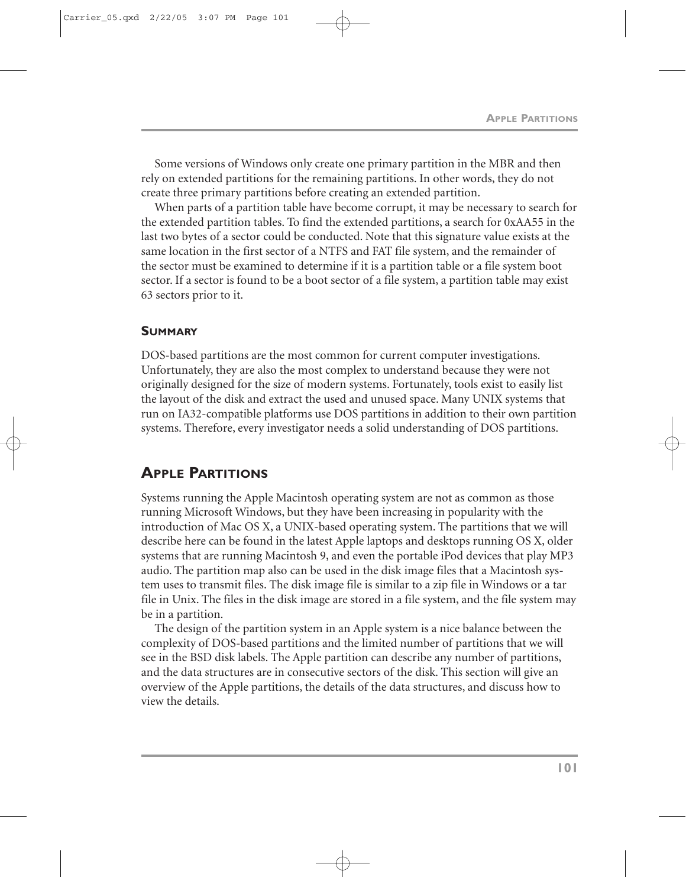Some versions of Windows only create one primary partition in the MBR and then rely on extended partitions for the remaining partitions. In other words, they do not create three primary partitions before creating an extended partition.

When parts of a partition table have become corrupt, it may be necessary to search for the extended partition tables. To find the extended partitions, a search for 0xAA55 in the last two bytes of a sector could be conducted. Note that this signature value exists at the same location in the first sector of a NTFS and FAT file system, and the remainder of the sector must be examined to determine if it is a partition table or a file system boot sector. If a sector is found to be a boot sector of a file system, a partition table may exist 63 sectors prior to it.

## **SUMMARY**

DOS-based partitions are the most common for current computer investigations. Unfortunately, they are also the most complex to understand because they were not originally designed for the size of modern systems. Fortunately, tools exist to easily list the layout of the disk and extract the used and unused space. Many UNIX systems that run on IA32-compatible platforms use DOS partitions in addition to their own partition systems. Therefore, every investigator needs a solid understanding of DOS partitions.

# **APPLE PARTITIONS**

Systems running the Apple Macintosh operating system are not as common as those running Microsoft Windows, but they have been increasing in popularity with the introduction of Mac OS X, a UNIX-based operating system. The partitions that we will describe here can be found in the latest Apple laptops and desktops running OS X, older systems that are running Macintosh 9, and even the portable iPod devices that play MP3 audio. The partition map also can be used in the disk image files that a Macintosh system uses to transmit files. The disk image file is similar to a zip file in Windows or a tar file in Unix. The files in the disk image are stored in a file system, and the file system may be in a partition.

The design of the partition system in an Apple system is a nice balance between the complexity of DOS-based partitions and the limited number of partitions that we will see in the BSD disk labels. The Apple partition can describe any number of partitions, and the data structures are in consecutive sectors of the disk. This section will give an overview of the Apple partitions, the details of the data structures, and discuss how to view the details.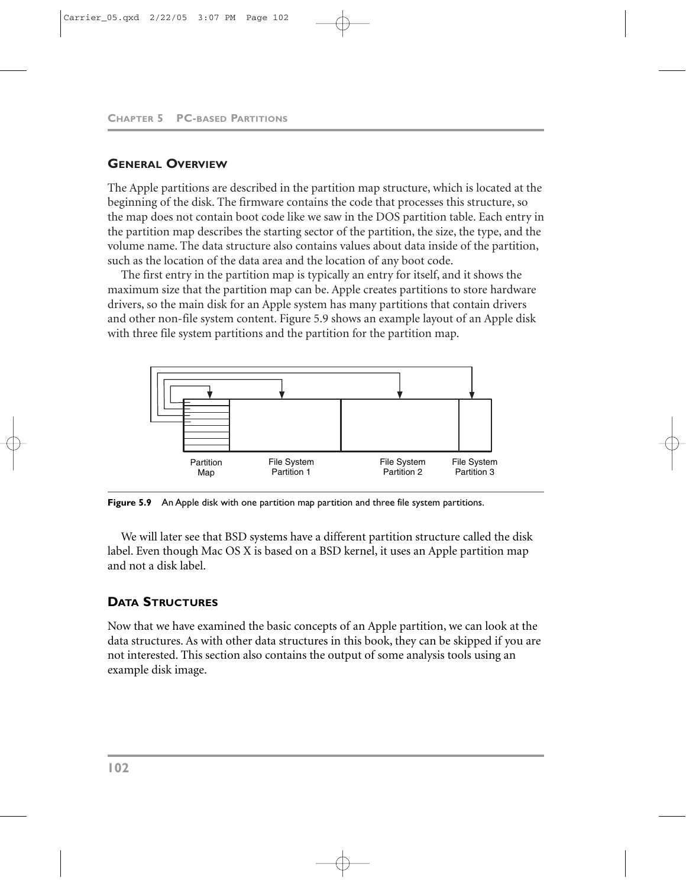# **GENERAL OVERVIEW**

The Apple partitions are described in the partition map structure, which is located at the beginning of the disk. The firmware contains the code that processes this structure, so the map does not contain boot code like we saw in the DOS partition table. Each entry in the partition map describes the starting sector of the partition, the size, the type, and the volume name. The data structure also contains values about data inside of the partition, such as the location of the data area and the location of any boot code.

The first entry in the partition map is typically an entry for itself, and it shows the maximum size that the partition map can be. Apple creates partitions to store hardware drivers, so the main disk for an Apple system has many partitions that contain drivers and other non-file system content. Figure 5.9 shows an example layout of an Apple disk with three file system partitions and the partition for the partition map.



**Figure 5.9** An Apple disk with one partition map partition and three file system partitions.

We will later see that BSD systems have a different partition structure called the disk label. Even though Mac OS X is based on a BSD kernel, it uses an Apple partition map and not a disk label.

## **DATA STRUCTURES**

Now that we have examined the basic concepts of an Apple partition, we can look at the data structures. As with other data structures in this book, they can be skipped if you are not interested. This section also contains the output of some analysis tools using an example disk image.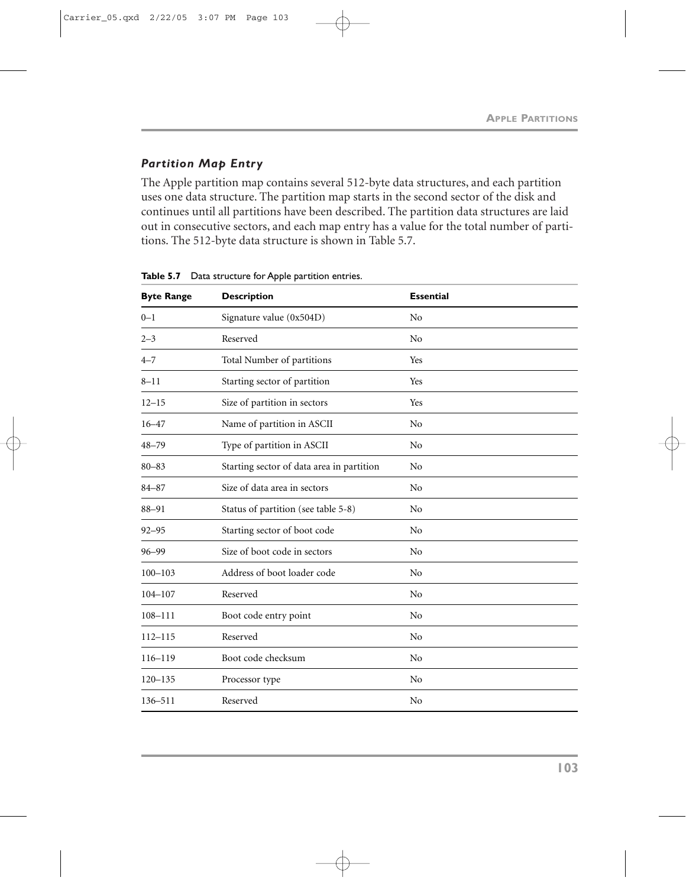# *Partition Map Entry*

The Apple partition map contains several 512-byte data structures, and each partition uses one data structure. The partition map starts in the second sector of the disk and continues until all partitions have been described. The partition data structures are laid out in consecutive sectors, and each map entry has a value for the total number of partitions. The 512-byte data structure is shown in Table 5.7.

| <b>Byte Range</b> | <b>Description</b>                        | <b>Essential</b> |
|-------------------|-------------------------------------------|------------------|
| $0 - 1$           | Signature value (0x504D)                  | No               |
| $2 - 3$           | Reserved                                  | No               |
| $4 - 7$           | Total Number of partitions                | Yes              |
| $8 - 11$          | Starting sector of partition              | Yes              |
| $12 - 15$         | Size of partition in sectors              | Yes              |
| $16 - 47$         | Name of partition in ASCII                | No               |
| $48 - 79$         | Type of partition in ASCII                | No               |
| $80 - 83$         | Starting sector of data area in partition | No               |
| $84 - 87$         | Size of data area in sectors              | No               |
| 88-91             | Status of partition (see table 5-8)       | No               |
| 92–95             | Starting sector of boot code              | No               |
| 96–99             | Size of boot code in sectors              | No               |
| $100 - 103$       | Address of boot loader code               | No               |
| 104-107           | Reserved                                  | No               |
| 108-111           | Boot code entry point                     | N <sub>o</sub>   |
| 112-115           | Reserved                                  | No               |
| 116-119           | Boot code checksum                        | No               |
| 120-135           | Processor type                            | No               |
| 136-511           | Reserved                                  | No               |

**Table 5.7** Data structure for Apple partition entries.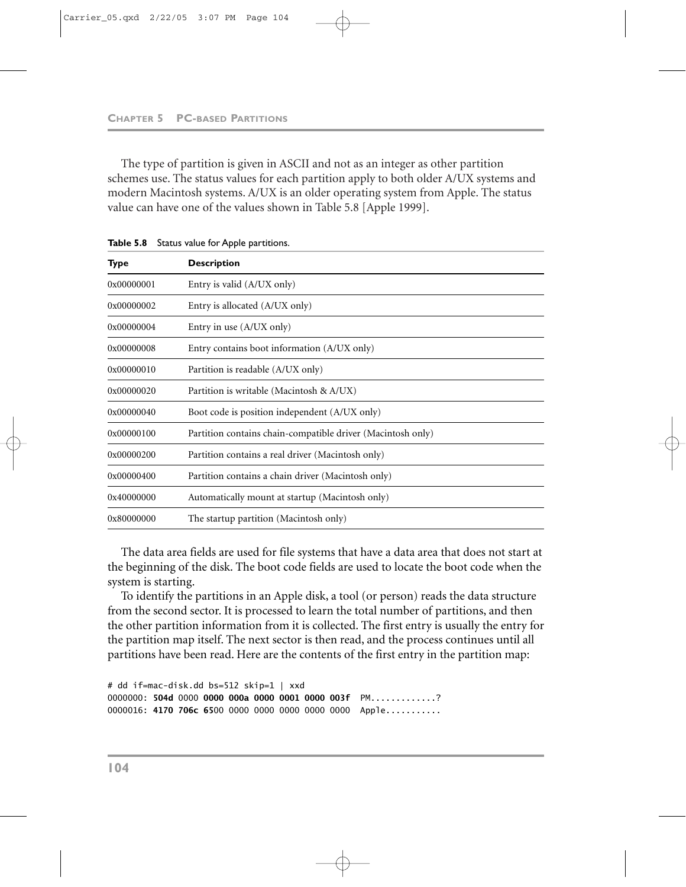The type of partition is given in ASCII and not as an integer as other partition schemes use. The status values for each partition apply to both older A/UX systems and modern Macintosh systems. A/UX is an older operating system from Apple. The status value can have one of the values shown in Table 5.8 [Apple 1999].

| Type       | <b>Description</b>                                          |
|------------|-------------------------------------------------------------|
| 0x00000001 | Entry is valid (A/UX only)                                  |
| 0x00000002 | Entry is allocated (A/UX only)                              |
| 0x00000004 | Entry in use (A/UX only)                                    |
| 0x00000008 | Entry contains boot information (A/UX only)                 |
| 0x00000010 | Partition is readable (A/UX only)                           |
| 0x00000020 | Partition is writable (Macintosh & A/UX)                    |
| 0x00000040 | Boot code is position independent (A/UX only)               |
| 0x00000100 | Partition contains chain-compatible driver (Macintosh only) |
| 0x00000200 | Partition contains a real driver (Macintosh only)           |
| 0x00000400 | Partition contains a chain driver (Macintosh only)          |
| 0x40000000 | Automatically mount at startup (Macintosh only)             |
| 0x80000000 | The startup partition (Macintosh only)                      |

**Table 5.8** Status value for Apple partitions.

The data area fields are used for file systems that have a data area that does not start at the beginning of the disk. The boot code fields are used to locate the boot code when the system is starting.

To identify the partitions in an Apple disk, a tool (or person) reads the data structure from the second sector. It is processed to learn the total number of partitions, and then the other partition information from it is collected. The first entry is usually the entry for the partition map itself. The next sector is then read, and the process continues until all partitions have been read. Here are the contents of the first entry in the partition map:

# dd if=mac-disk.dd bs=512 skip=1 | xxd 0000000: **504d** 0000 **0000 000a 0000 0001 0000 003f** PM.............? 0000016: **4170 706c 65**00 0000 0000 0000 0000 0000 Apple...........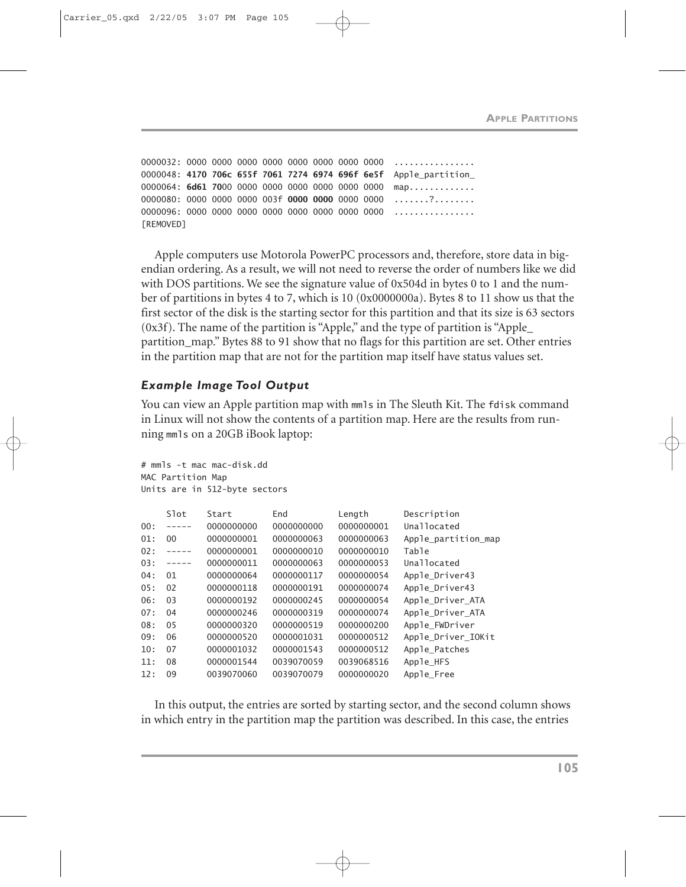0000032: 0000 0000 0000 0000 0000 0000 0000 0000 ................ 0000048: **4170 706c 655f 7061 7274 6974 696f 6e5f** Apple\_partition\_ 0000064: 6d61 7000 0000 0000 0000 0000 0000 0000 map............ 0000080: 0000 0000 0000 003f **0000 0000** 0000 0000 ......?........ 0000096: 0000 0000 0000 0000 0000 0000 0000 0000 ................ [REMOVED]

Apple computers use Motorola PowerPC processors and, therefore, store data in bigendian ordering. As a result, we will not need to reverse the order of numbers like we did with DOS partitions. We see the signature value of 0x504d in bytes 0 to 1 and the number of partitions in bytes 4 to 7, which is 10 (0x0000000a). Bytes 8 to 11 show us that the first sector of the disk is the starting sector for this partition and that its size is 63 sectors (0x3f). The name of the partition is "Apple," and the type of partition is "Apple\_ partition\_map." Bytes 88 to 91 show that no flags for this partition are set. Other entries in the partition map that are not for the partition map itself have status values set.

# *Example Image Tool Output*

You can view an Apple partition map with mmls in The Sleuth Kit. The fdisk command in Linux will not show the contents of a partition map. Here are the results from running mmls on a 20GB iBook laptop:

```
# mmls -t mac mac-disk.dd 
MAC Partition Map
Units are in 512-byte sectors
```

|     | Slot      | Start      | End        | Length     | Description         |
|-----|-----------|------------|------------|------------|---------------------|
| 00: | $---$     | 0000000000 | 0000000000 | 0000000001 | Unallocated         |
| 01: | $00 \,$   | 0000000001 | 0000000063 | 0000000063 | Apple partition map |
| 02: | ----      | 0000000001 | 0000000010 | 0000000010 | Table               |
| 03: | $- - - -$ | 0000000011 | 0000000063 | 0000000053 | Unallocated         |
| 04: | 01        | 0000000064 | 0000000117 | 0000000054 | Apple Driver43      |
| 05: | 02        | 0000000118 | 0000000191 | 0000000074 | Apple Driver43      |
| 06: | 03        | 0000000192 | 0000000245 | 0000000054 | Apple Driver ATA    |
| 07: | 04        | 0000000246 | 0000000319 | 0000000074 | Apple Driver ATA    |
| 08: | 05        | 0000000320 | 0000000519 | 0000000200 | Apple_FWDriver      |
| 09: | 06        | 0000000520 | 0000001031 | 0000000512 | Apple Driver IOKit  |
| 10: | 07        | 0000001032 | 0000001543 | 0000000512 | Apple Patches       |
| 11: | 08        | 0000001544 | 0039070059 | 0039068516 | Apple HFS           |
| 12: | 09        | 0039070060 | 0039070079 | 0000000020 | Apple Free          |

In this output, the entries are sorted by starting sector, and the second column shows in which entry in the partition map the partition was described. In this case, the entries

**105**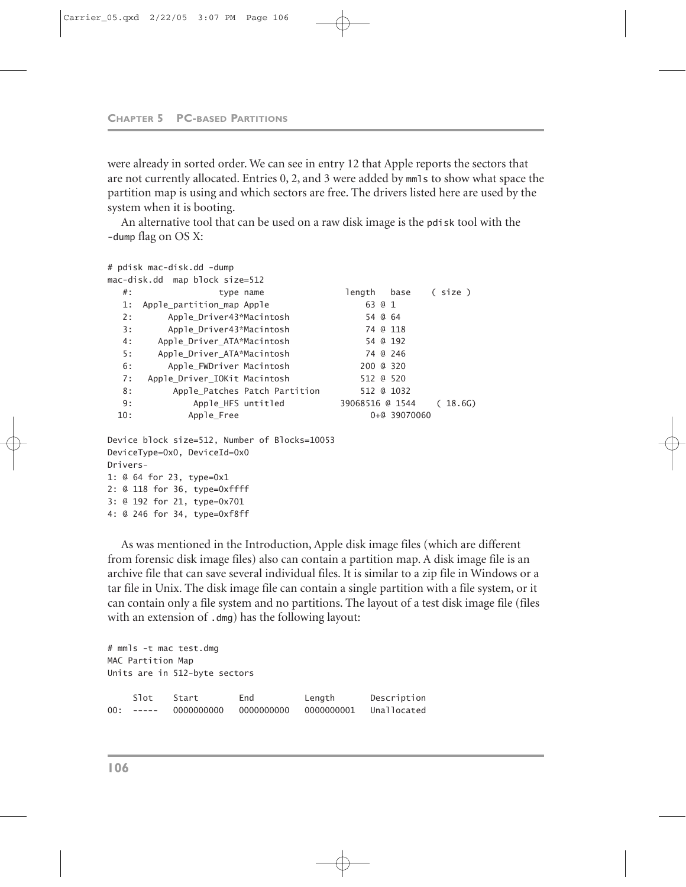were already in sorted order. We can see in entry 12 that Apple reports the sectors that are not currently allocated. Entries 0, 2, and 3 were added by mmls to show what space the partition map is using and which sectors are free. The drivers listed here are used by the system when it is booting.

An alternative tool that can be used on a raw disk image is the pdisk tool with the -dump flag on OS X:

#### # pdisk mac-disk.dd -dump

|     | mac-disk.dd map block size=512                |                 |              |         |
|-----|-----------------------------------------------|-----------------|--------------|---------|
| #:  | type name                                     | length          | base         | (size)  |
| 1:  | Apple partition map Apple                     | 63 @ 1          |              |         |
| 2:  | Apple Driver43*Macintosh                      | 54 @ 64         |              |         |
| 3:  | Apple Driver43*Macintosh                      | 74 @ 118        |              |         |
| 4:  | Apple Driver ATA*Macintosh                    | 54 @ 192        |              |         |
| 5:  | Apple Driver ATA*Macintosh                    | 74 @ 246        |              |         |
| 6:  | Apple FWDriver Macintosh                      | 200 @ 320       |              |         |
| 7:  | Apple Driver IOKit Macintosh                  | 512 @ 520       |              |         |
| 8:  | Apple Patches Patch Partition                 | 512 @ 1032      |              |         |
| 9:  | Apple HFS untitled                            | 39068516 @ 1544 |              | (18.6G) |
| 10: | Apple Free                                    |                 | 0+0 39070060 |         |
|     |                                               |                 |              |         |
|     | Doutes black sins 512. Number of Blacks 10052 |                 |              |         |

Device block size=512, Number of Blocks=10053 DeviceType=0x0, DeviceId=0x0 Drivers-1: @ 64 for 23, type=0x1 2: @ 118 for 36, type=0xffff 3: @ 192 for 21, type=0x701

4: @ 246 for 34, type=0xf8ff

As was mentioned in the Introduction, Apple disk image files (which are different from forensic disk image files) also can contain a partition map. A disk image file is an archive file that can save several individual files. It is similar to a zip file in Windows or a tar file in Unix. The disk image file can contain a single partition with a file system, or it can contain only a file system and no partitions. The layout of a test disk image file (files with an extension of .dmg) has the following layout:

```
# mmls -t mac test.dmg 
MAC Partition Map
Units are in 512-byte sectors
    Slot Start End Length Description
00: ----- 0000000000 0000000000 0000000001 Unallocated
```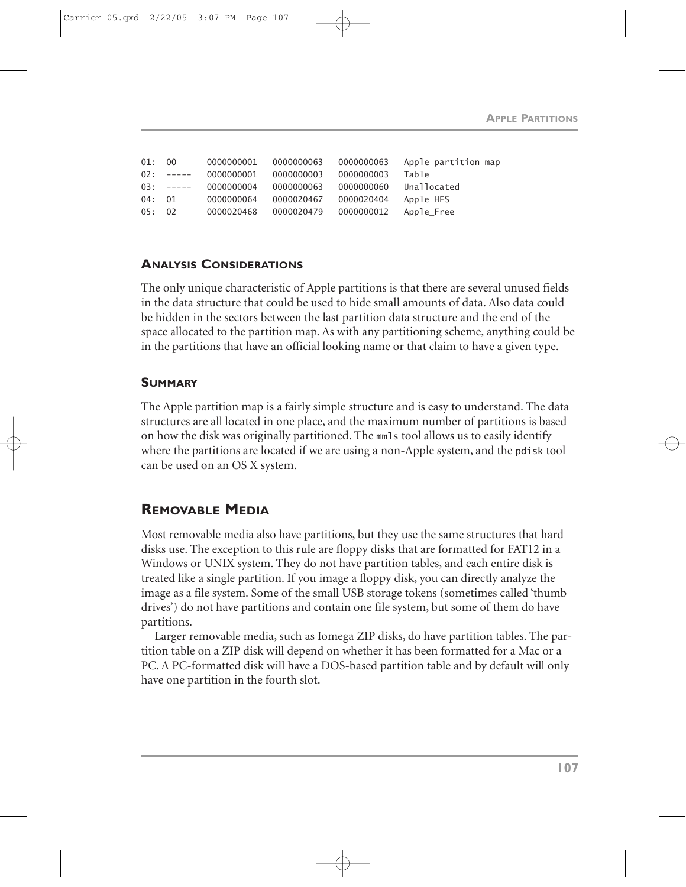01: 00 0000000001 0000000063 0000000063 Apple\_partition\_map 02: ----- 0000000001 0000000003 0000000003 Table 03: ----- 0000000004 0000000063 0000000060 Unallocated 04: 01 0000000064 0000020467 0000020404 Apple\_HFS 05: 02 0000020468 0000020479 0000000012 Apple\_Free

# **ANALYSIS CONSIDERATIONS**

The only unique characteristic of Apple partitions is that there are several unused fields in the data structure that could be used to hide small amounts of data. Also data could be hidden in the sectors between the last partition data structure and the end of the space allocated to the partition map. As with any partitioning scheme, anything could be in the partitions that have an official looking name or that claim to have a given type.

#### **SUMMARY**

The Apple partition map is a fairly simple structure and is easy to understand. The data structures are all located in one place, and the maximum number of partitions is based on how the disk was originally partitioned. The mmls tool allows us to easily identify where the partitions are located if we are using a non-Apple system, and the pdisk tool can be used on an OS X system.

# **REMOVABLE MEDIA**

Most removable media also have partitions, but they use the same structures that hard disks use. The exception to this rule are floppy disks that are formatted for FAT12 in a Windows or UNIX system. They do not have partition tables, and each entire disk is treated like a single partition. If you image a floppy disk, you can directly analyze the image as a file system. Some of the small USB storage tokens (sometimes called 'thumb drives') do not have partitions and contain one file system, but some of them do have partitions.

Larger removable media, such as Iomega ZIP disks, do have partition tables. The partition table on a ZIP disk will depend on whether it has been formatted for a Mac or a PC. A PC-formatted disk will have a DOS-based partition table and by default will only have one partition in the fourth slot.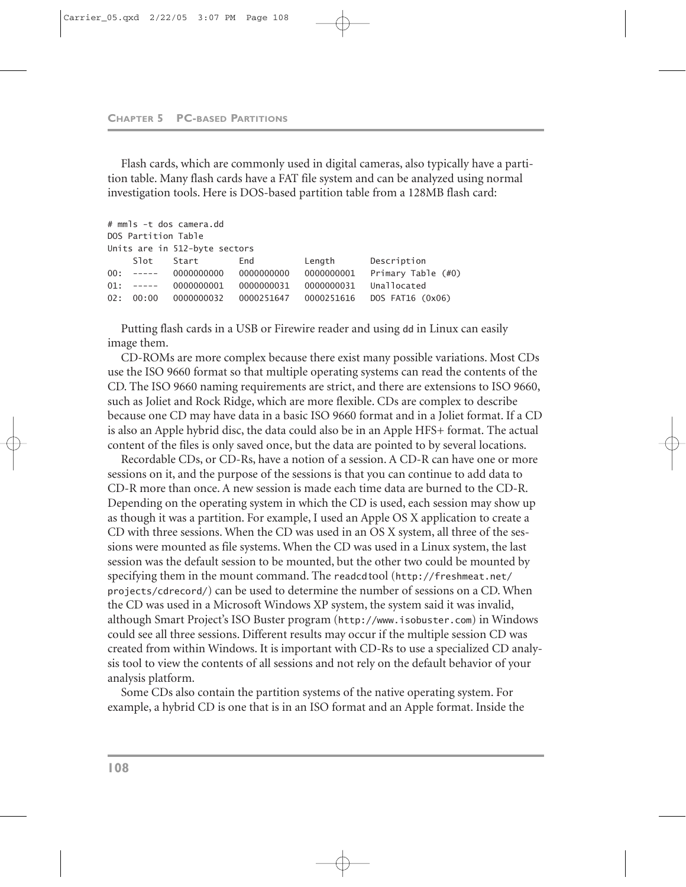Flash cards, which are commonly used in digital cameras, also typically have a partition table. Many flash cards have a FAT file system and can be analyzed using normal investigation tools. Here is DOS-based partition table from a 128MB flash card:

|      |                               | # mmls -t dos camera.dd |            |            |                             |  |
|------|-------------------------------|-------------------------|------------|------------|-----------------------------|--|
|      | DOS Partition Table           |                         |            |            |                             |  |
|      | Units are in 512-byte sectors |                         |            |            |                             |  |
|      | Slot                          | Start                   | End        | Length     | Description                 |  |
|      | $00:$ -----                   | 0000000000              | 0000000000 | 0000000001 | Primary Table (#0)          |  |
|      | $01:$ -----                   | 0000000001              | 0000000031 | 0000000031 | Unallocated                 |  |
| 02 : | 00:00                         | 0000000032              | 0000251647 |            | 0000251616 DOS FAT16 (0x06) |  |

Putting flash cards in a USB or Firewire reader and using dd in Linux can easily image them.

CD-ROMs are more complex because there exist many possible variations. Most CDs use the ISO 9660 format so that multiple operating systems can read the contents of the CD. The ISO 9660 naming requirements are strict, and there are extensions to ISO 9660, such as Joliet and Rock Ridge, which are more flexible. CDs are complex to describe because one CD may have data in a basic ISO 9660 format and in a Joliet format. If a CD is also an Apple hybrid disc, the data could also be in an Apple HFS+ format. The actual content of the files is only saved once, but the data are pointed to by several locations.

Recordable CDs, or CD-Rs, have a notion of a session. A CD-R can have one or more sessions on it, and the purpose of the sessions is that you can continue to add data to CD-R more than once. A new session is made each time data are burned to the CD-R. Depending on the operating system in which the CD is used, each session may show up as though it was a partition. For example, I used an Apple OS X application to create a CD with three sessions. When the CD was used in an OS X system, all three of the sessions were mounted as file systems. When the CD was used in a Linux system, the last session was the default session to be mounted, but the other two could be mounted by specifying them in the mount command. The readcd tool (http://freshmeat.net/ projects/cdrecord/) can be used to determine the number of sessions on a CD. When the CD was used in a Microsoft Windows XP system, the system said it was invalid, although Smart Project's ISO Buster program (http://www.isobuster.com) in Windows could see all three sessions. Different results may occur if the multiple session CD was created from within Windows. It is important with CD-Rs to use a specialized CD analysis tool to view the contents of all sessions and not rely on the default behavior of your analysis platform.

Some CDs also contain the partition systems of the native operating system. For example, a hybrid CD is one that is in an ISO format and an Apple format. Inside the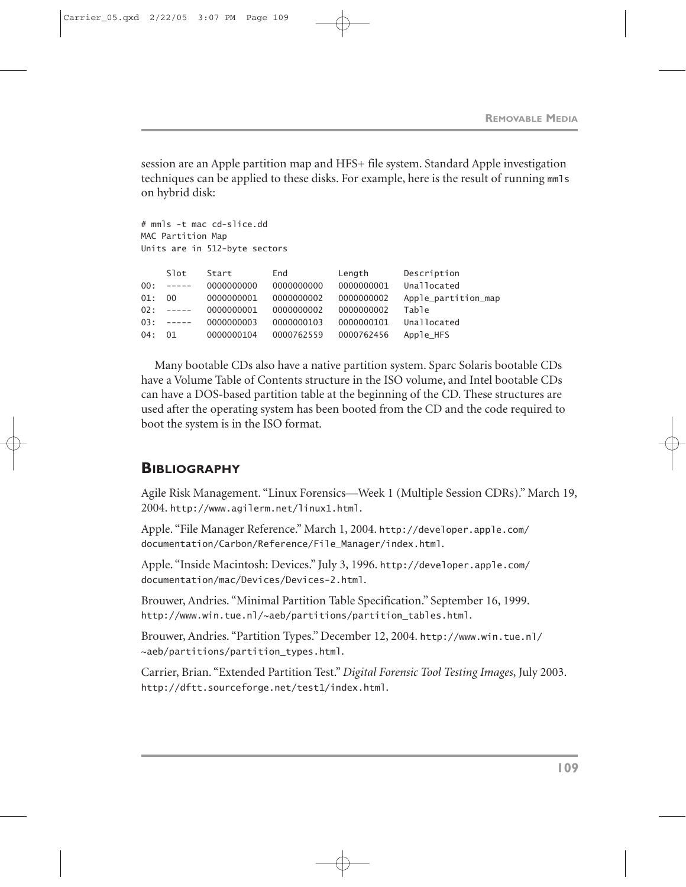session are an Apple partition map and HFS+ file system. Standard Apple investigation techniques can be applied to these disks. For example, here is the result of running mmls on hybrid disk:

```
# mmls -t mac cd-slice.dd
MAC Partition Map
Units are in 512-byte sectors
```

| Apple partition map |
|---------------------|
|                     |
|                     |
|                     |
|                     |

Many bootable CDs also have a native partition system. Sparc Solaris bootable CDs have a Volume Table of Contents structure in the ISO volume, and Intel bootable CDs can have a DOS-based partition table at the beginning of the CD. These structures are used after the operating system has been booted from the CD and the code required to boot the system is in the ISO format.

# **BIBLIOGRAPHY**

Agile Risk Management. "Linux Forensics—Week 1 (Multiple Session CDRs)." March 19, 2004. http://www.agilerm.net/linux1.html.

Apple. "File Manager Reference." March 1, 2004. http://developer.apple.com/ documentation/Carbon/Reference/File\_Manager/index.html.

Apple. "Inside Macintosh: Devices." July 3, 1996. http://developer.apple.com/ documentation/mac/Devices/Devices-2.html.

Brouwer, Andries. "Minimal Partition Table Specification." September 16, 1999. http://www.win.tue.nl/~aeb/partitions/partition\_tables.html.

Brouwer, Andries. "Partition Types." December 12, 2004. http://www.win.tue.nl/ ~aeb/partitions/partition\_types.html.

Carrier, Brian. "Extended Partition Test." *Digital Forensic Tool Testing Images*, July 2003. http://dftt.sourceforge.net/test1/index.html.